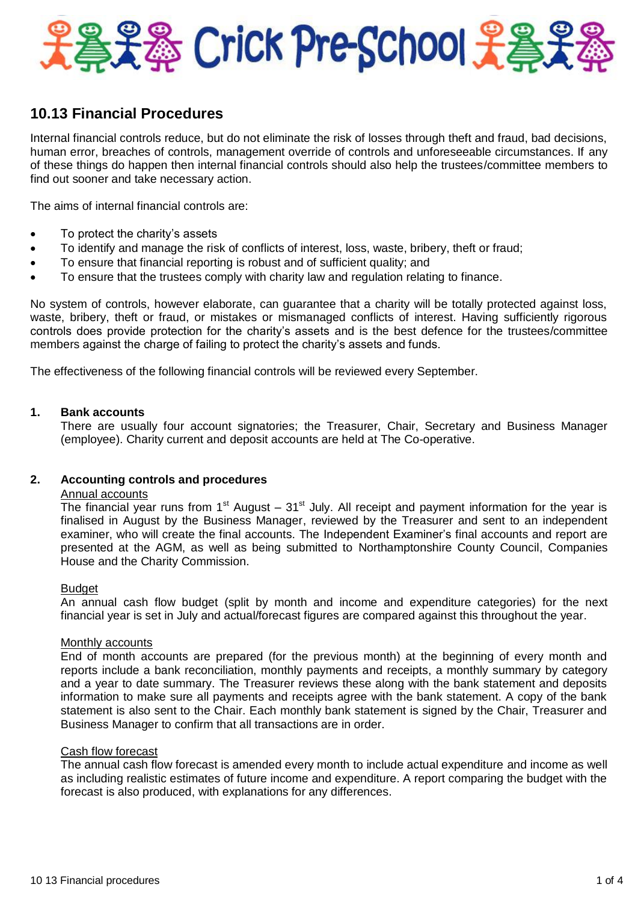

# **10.13 Financial Procedures**

Internal financial controls reduce, but do not eliminate the risk of losses through theft and fraud, bad decisions, human error, breaches of controls, management override of controls and unforeseeable circumstances. If any of these things do happen then internal financial controls should also help the trustees/committee members to find out sooner and take necessary action.

The aims of internal financial controls are:

- To protect the charity's assets
- To identify and manage the risk of conflicts of interest, loss, waste, bribery, theft or fraud;
- To ensure that financial reporting is robust and of sufficient quality; and
- To ensure that the trustees comply with charity law and regulation relating to finance.

No system of controls, however elaborate, can guarantee that a charity will be totally protected against loss, waste, bribery, theft or fraud, or mistakes or mismanaged conflicts of interest. Having sufficiently rigorous controls does provide protection for the charity's assets and is the best defence for the trustees/committee members against the charge of failing to protect the charity's assets and funds.

The effectiveness of the following financial controls will be reviewed every September.

## **1. Bank accounts**

There are usually four account signatories; the Treasurer, Chair, Secretary and Business Manager (employee). Charity current and deposit accounts are held at The Co-operative.

### **2. Accounting controls and procedures**

## Annual accounts

The financial year runs from  $1<sup>st</sup>$  August –  $31<sup>st</sup>$  July. All receipt and payment information for the year is finalised in August by the Business Manager, reviewed by the Treasurer and sent to an independent examiner, who will create the final accounts. The Independent Examiner's final accounts and report are presented at the AGM, as well as being submitted to Northamptonshire County Council, Companies House and the Charity Commission.

### Budget

An annual cash flow budget (split by month and income and expenditure categories) for the next financial year is set in July and actual/forecast figures are compared against this throughout the year.

### Monthly accounts

End of month accounts are prepared (for the previous month) at the beginning of every month and reports include a bank reconciliation, monthly payments and receipts, a monthly summary by category and a year to date summary. The Treasurer reviews these along with the bank statement and deposits information to make sure all payments and receipts agree with the bank statement. A copy of the bank statement is also sent to the Chair. Each monthly bank statement is signed by the Chair, Treasurer and Business Manager to confirm that all transactions are in order.

### Cash flow forecast

The annual cash flow forecast is amended every month to include actual expenditure and income as well as including realistic estimates of future income and expenditure. A report comparing the budget with the forecast is also produced, with explanations for any differences.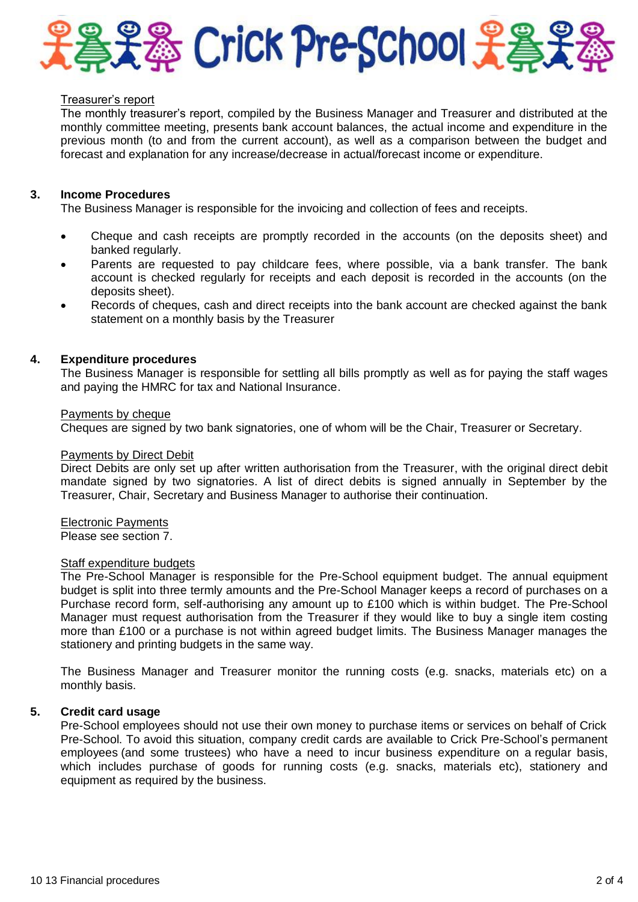

#### Treasurer's report

The monthly treasurer's report, compiled by the Business Manager and Treasurer and distributed at the monthly committee meeting, presents bank account balances, the actual income and expenditure in the previous month (to and from the current account), as well as a comparison between the budget and forecast and explanation for any increase/decrease in actual/forecast income or expenditure.

### **3. Income Procedures**

The Business Manager is responsible for the invoicing and collection of fees and receipts.

- Cheque and cash receipts are promptly recorded in the accounts (on the deposits sheet) and banked regularly.
- Parents are requested to pay childcare fees, where possible, via a bank transfer. The bank account is checked regularly for receipts and each deposit is recorded in the accounts (on the deposits sheet).
- Records of cheques, cash and direct receipts into the bank account are checked against the bank statement on a monthly basis by the Treasurer

## **4. Expenditure procedures**

The Business Manager is responsible for settling all bills promptly as well as for paying the staff wages and paying the HMRC for tax and National Insurance.

#### Payments by cheque

Cheques are signed by two bank signatories, one of whom will be the Chair, Treasurer or Secretary.

#### Payments by Direct Debit

Direct Debits are only set up after written authorisation from the Treasurer, with the original direct debit mandate signed by two signatories. A list of direct debits is signed annually in September by the Treasurer, Chair, Secretary and Business Manager to authorise their continuation.

### Electronic Payments

Please see section 7.

## Staff expenditure budgets

The Pre-School Manager is responsible for the Pre-School equipment budget. The annual equipment budget is split into three termly amounts and the Pre-School Manager keeps a record of purchases on a Purchase record form, self-authorising any amount up to £100 which is within budget. The Pre-School Manager must request authorisation from the Treasurer if they would like to buy a single item costing more than £100 or a purchase is not within agreed budget limits. The Business Manager manages the stationery and printing budgets in the same way.

The Business Manager and Treasurer monitor the running costs (e.g. snacks, materials etc) on a monthly basis.

# **5. Credit card usage**

Pre-School employees should not use their own money to purchase items or services on behalf of Crick Pre-School. To avoid this situation, company credit cards are available to Crick Pre-School's permanent employees (and some trustees) who have a need to incur business expenditure on a regular basis, which includes purchase of goods for running costs (e.g. snacks, materials etc), stationery and equipment as required by the business.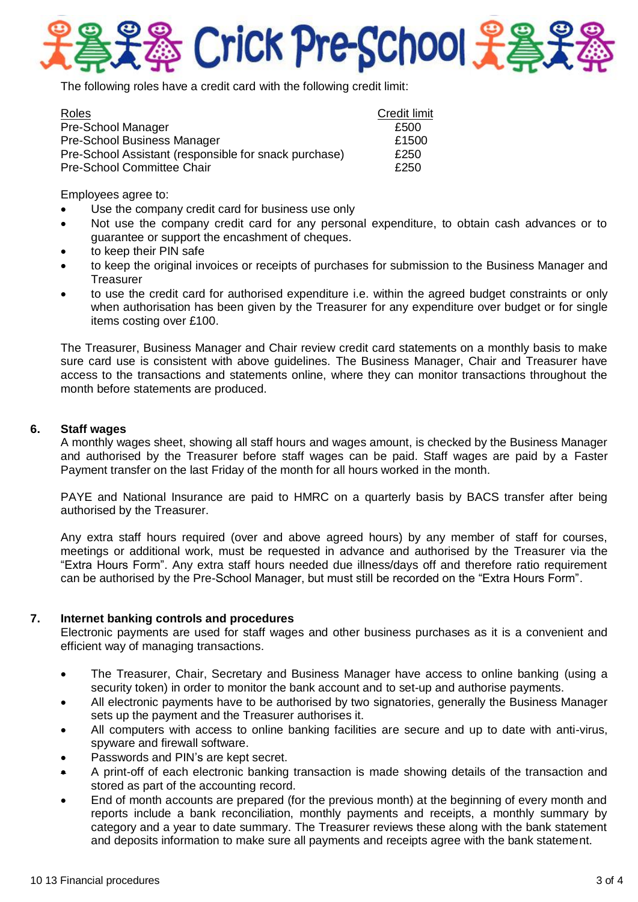

The following roles have a credit card with the following credit limit:

| Roles                                                 | <b>Credit limit</b> |
|-------------------------------------------------------|---------------------|
| Pre-School Manager                                    | £500                |
| <b>Pre-School Business Manager</b>                    | £1500               |
| Pre-School Assistant (responsible for snack purchase) | £250                |
| <b>Pre-School Committee Chair</b>                     | £250                |

Employees agree to:

- Use the company credit card for business use only
- Not use the company credit card for any personal expenditure, to obtain cash advances or to guarantee or support the encashment of cheques.
- to keep their PIN safe
- to keep the original invoices or receipts of purchases for submission to the Business Manager and **Treasurer**
- to use the credit card for authorised expenditure i.e. within the agreed budget constraints or only when authorisation has been given by the Treasurer for any expenditure over budget or for single items costing over £100.

The Treasurer, Business Manager and Chair review credit card statements on a monthly basis to make sure card use is consistent with above guidelines. The Business Manager, Chair and Treasurer have access to the transactions and statements online, where they can monitor transactions throughout the month before statements are produced.

## **6. Staff wages**

A monthly wages sheet, showing all staff hours and wages amount, is checked by the Business Manager and authorised by the Treasurer before staff wages can be paid. Staff wages are paid by a Faster Payment transfer on the last Friday of the month for all hours worked in the month.

PAYE and National Insurance are paid to HMRC on a quarterly basis by BACS transfer after being authorised by the Treasurer.

Any extra staff hours required (over and above agreed hours) by any member of staff for courses, meetings or additional work, must be requested in advance and authorised by the Treasurer via the "Extra Hours Form". Any extra staff hours needed due illness/days off and therefore ratio requirement can be authorised by the Pre-School Manager, but must still be recorded on the "Extra Hours Form".

# **7. Internet banking controls and procedures**

Electronic payments are used for staff wages and other business purchases as it is a convenient and efficient way of managing transactions.

- The Treasurer, Chair, Secretary and Business Manager have access to online banking (using a security token) in order to monitor the bank account and to set-up and authorise payments.
- All electronic payments have to be authorised by two signatories, generally the Business Manager sets up the payment and the Treasurer authorises it.
- All computers with access to online banking facilities are secure and up to date with anti-virus, spyware and firewall software.
- Passwords and PIN's are kept secret.
- A print-off of each electronic banking transaction is made showing details of the transaction and stored as part of the accounting record.
- End of month accounts are prepared (for the previous month) at the beginning of every month and reports include a bank reconciliation, monthly payments and receipts, a monthly summary by category and a year to date summary. The Treasurer reviews these along with the bank statement and deposits information to make sure all payments and receipts agree with the bank statement.